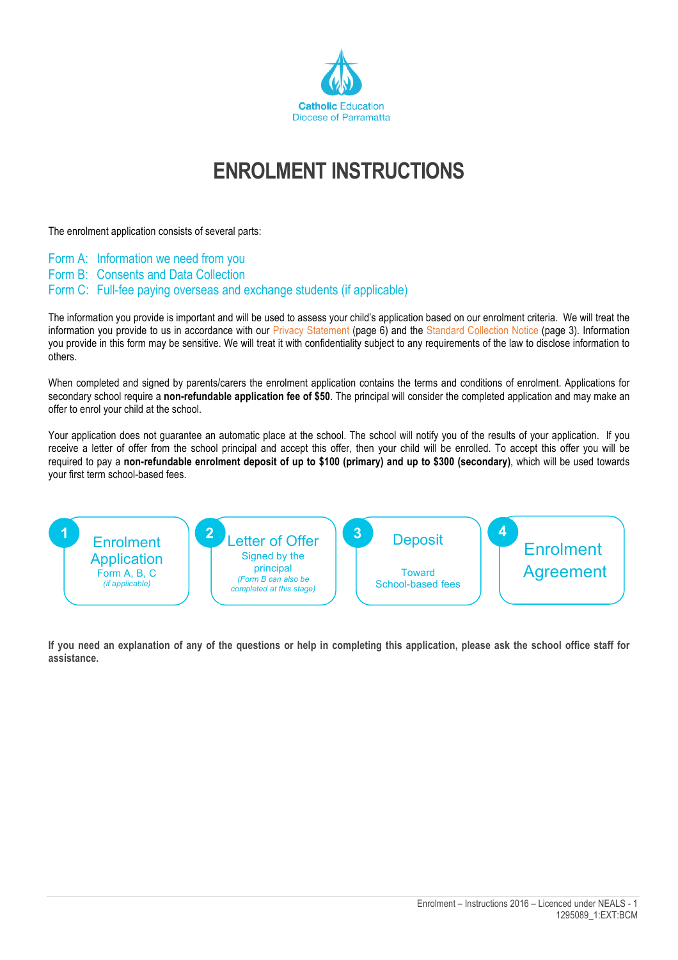

## **ENROLMENT INSTRUCTIONS**

The enrolment application consists of several parts:

- Form A: Information we need from you
- Form B: Consents and Data Collection
- Form C: Full-fee paying overseas and exchange students (if applicable)

The information you provide is important and will be used to assess your child's application based on our enrolment criteria. We will treat the information you provide to us in accordance with our Privacy Statement (page 6) and the Standard Collection Notice (page 3)*.* Information you provide in this form may be sensitive. We will treat it with confidentiality subject to any requirements of the law to disclose information to others.

When completed and signed by parents/carers the enrolment application contains the terms and conditions of enrolment. Applications for secondary school require a **non-refundable application fee of \$50**. The principal will consider the completed application and may make an offer to enrol your child at the school.

Your application does not guarantee an automatic place at the school. The school will notify you of the results of your application. If you receive a letter of offer from the school principal and accept this offer, then your child will be enrolled. To accept this offer you will be required to pay a **non-refundable enrolment deposit of up to \$100 (primary) and up to \$300 (secondary)**, which will be used towards your first term school-based fees.



**If you need an explanation of any of the questions or help in completing this application, please ask the school office staff for assistance.**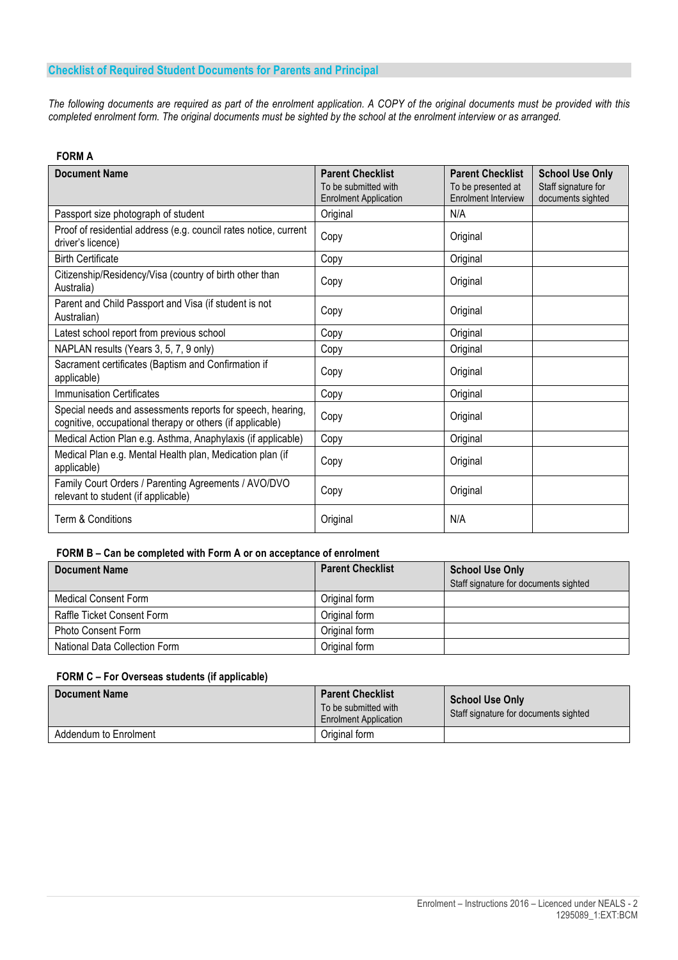## **Checklist of Required Student Documents for Parents and Principal**

*The following documents are required as part of the enrolment application. A COPY of the original documents must be provided with this completed enrolment form. The original documents must be sighted by the school at the enrolment interview or as arranged.*

## **FORM A**

| <b>Document Name</b>                                                                                                    | <b>Parent Checklist</b><br>To be submitted with | <b>Parent Checklist</b>                          | <b>School Use Only</b>                   |
|-------------------------------------------------------------------------------------------------------------------------|-------------------------------------------------|--------------------------------------------------|------------------------------------------|
|                                                                                                                         | <b>Enrolment Application</b>                    | To be presented at<br><b>Enrolment Interview</b> | Staff signature for<br>documents sighted |
| Passport size photograph of student                                                                                     | Original                                        | N/A                                              |                                          |
| Proof of residential address (e.g. council rates notice, current<br>driver's licence)                                   | Copy                                            | Original                                         |                                          |
| <b>Birth Certificate</b>                                                                                                | Copy                                            | Original                                         |                                          |
| Citizenship/Residency/Visa (country of birth other than<br>Australia)                                                   | Copy                                            | Original                                         |                                          |
| Parent and Child Passport and Visa (if student is not<br>Australian)                                                    | Copy                                            | Original                                         |                                          |
| Latest school report from previous school                                                                               | Copy                                            | Original                                         |                                          |
| NAPLAN results (Years 3, 5, 7, 9 only)                                                                                  | Copy                                            | Original                                         |                                          |
| Sacrament certificates (Baptism and Confirmation if<br>applicable)                                                      | Copy                                            | Original                                         |                                          |
| <b>Immunisation Certificates</b>                                                                                        | Copy                                            | Original                                         |                                          |
| Special needs and assessments reports for speech, hearing,<br>cognitive, occupational therapy or others (if applicable) | Copy                                            | Original                                         |                                          |
| Medical Action Plan e.g. Asthma, Anaphylaxis (if applicable)                                                            | Copy                                            | Original                                         |                                          |
| Medical Plan e.g. Mental Health plan, Medication plan (if<br>applicable)                                                | Copy                                            | Original                                         |                                          |
| Family Court Orders / Parenting Agreements / AVO/DVO<br>relevant to student (if applicable)                             | Copy                                            | Original                                         |                                          |
| Term & Conditions                                                                                                       | Original                                        | N/A                                              |                                          |

## **FORM B – Can be completed with Form A or on acceptance of enrolment**

| <b>Document Name</b>          | <b>Parent Checklist</b> | <b>School Use Only</b>                |  |
|-------------------------------|-------------------------|---------------------------------------|--|
|                               |                         | Staff signature for documents sighted |  |
| Medical Consent Form          | Original form           |                                       |  |
| Raffle Ticket Consent Form    | Original form           |                                       |  |
| <b>Photo Consent Form</b>     | Original form           |                                       |  |
| National Data Collection Form | Original form           |                                       |  |

#### **FORM C – For Overseas students (if applicable)**

| <b>Document Name</b>  | <b>Parent Checklist</b><br>To be submitted with<br><b>Enrolment Application</b> | <b>School Use Only</b><br>Staff signature for documents sighted |
|-----------------------|---------------------------------------------------------------------------------|-----------------------------------------------------------------|
| Addendum to Enrolment | Original form                                                                   |                                                                 |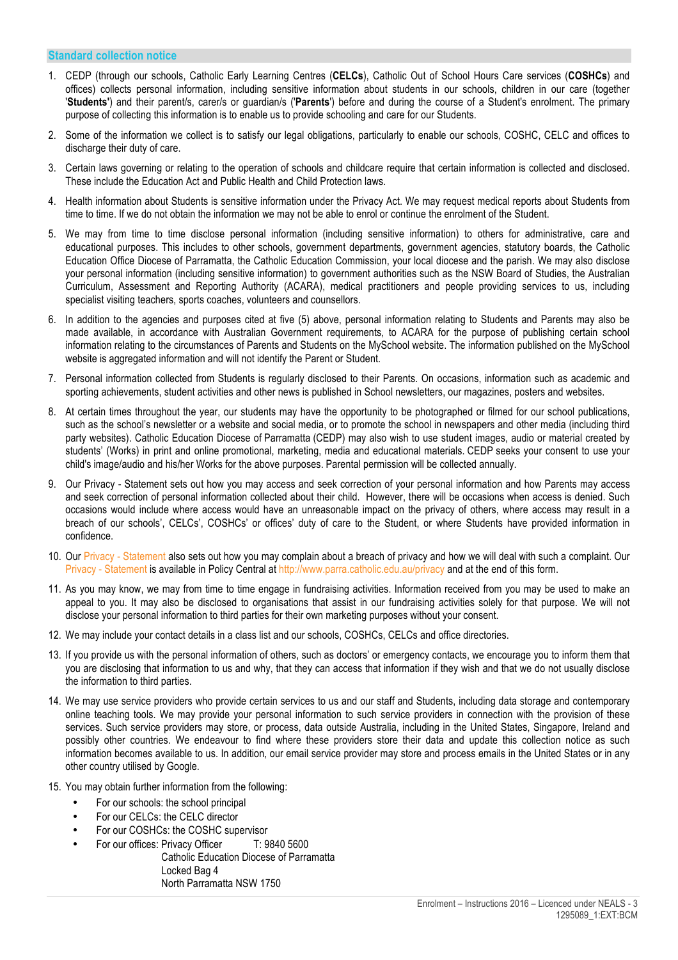#### **Standard collection notice**

- 1. CEDP (through our schools, Catholic Early Learning Centres (**CELCs**), Catholic Out of School Hours Care services (**COSHCs**) and offices) collects personal information, including sensitive information about students in our schools, children in our care (together '**Students'**) and their parent/s, carer/s or guardian/s ('**Parents**') before and during the course of a Student's enrolment. The primary purpose of collecting this information is to enable us to provide schooling and care for our Students.
- 2. Some of the information we collect is to satisfy our legal obligations, particularly to enable our schools, COSHC, CELC and offices to discharge their duty of care.
- 3. Certain laws governing or relating to the operation of schools and childcare require that certain information is collected and disclosed. These include the Education Act and Public Health and Child Protection laws.
- 4. Health information about Students is sensitive information under the Privacy Act. We may request medical reports about Students from time to time. If we do not obtain the information we may not be able to enrol or continue the enrolment of the Student.
- 5. We may from time to time disclose personal information (including sensitive information) to others for administrative, care and educational purposes. This includes to other schools, government departments, government agencies, statutory boards, the Catholic Education Office Diocese of Parramatta, the Catholic Education Commission, your local diocese and the parish. We may also disclose your personal information (including sensitive information) to government authorities such as the NSW Board of Studies, the Australian Curriculum, Assessment and Reporting Authority (ACARA), medical practitioners and people providing services to us, including specialist visiting teachers, sports coaches, volunteers and counsellors.
- 6. In addition to the agencies and purposes cited at five (5) above, personal information relating to Students and Parents may also be made available, in accordance with Australian Government requirements, to ACARA for the purpose of publishing certain school information relating to the circumstances of Parents and Students on the MySchool website. The information published on the MySchool website is aggregated information and will not identify the Parent or Student.
- 7. Personal information collected from Students is regularly disclosed to their Parents. On occasions, information such as academic and sporting achievements, student activities and other news is published in School newsletters, our magazines, posters and websites.
- 8. At certain times throughout the year, our students may have the opportunity to be photographed or filmed for our school publications, such as the school's newsletter or a website and social media, or to promote the school in newspapers and other media (including third party websites). Catholic Education Diocese of Parramatta (CEDP) may also wish to use student images, audio or material created by students' (Works) in print and online promotional, marketing, media and educational materials. CEDP seeks your consent to use your child's image/audio and his/her Works for the above purposes. Parental permission will be collected annually.
- 9. Our Privacy Statement sets out how you may access and seek correction of your personal information and how Parents may access and seek correction of personal information collected about their child. However, there will be occasions when access is denied. Such occasions would include where access would have an unreasonable impact on the privacy of others, where access may result in a breach of our schools', CELCs', COSHCs' or offices' duty of care to the Student, or where Students have provided information in confidence.
- 10. Our Privacy Statement also sets out how you may complain about a breach of privacy and how we will deal with such a complaint. Our Privacy - Statement is available in Policy Central at http://www.parra.catholic.edu.au/privacy and at the end of this form.
- 11. As you may know, we may from time to time engage in fundraising activities. Information received from you may be used to make an appeal to you. It may also be disclosed to organisations that assist in our fundraising activities solely for that purpose. We will not disclose your personal information to third parties for their own marketing purposes without your consent.
- 12. We may include your contact details in a class list and our schools, COSHCs, CELCs and office directories.
- 13. If you provide us with the personal information of others, such as doctors' or emergency contacts, we encourage you to inform them that you are disclosing that information to us and why, that they can access that information if they wish and that we do not usually disclose the information to third parties.
- 14. We may use service providers who provide certain services to us and our staff and Students, including data storage and contemporary online teaching tools. We may provide your personal information to such service providers in connection with the provision of these services. Such service providers may store, or process, data outside Australia, including in the United States, Singapore, Ireland and possibly other countries. We endeavour to find where these providers store their data and update this collection notice as such information becomes available to us. In addition, our email service provider may store and process emails in the United States or in any other country utilised by Google.
- 15. You may obtain further information from the following:
	- For our schools: the school principal
	- For our CELCs: the CELC director
	- For our COSHCs: the COSHC supervisor
	- For our offices: Privacy Officer T: 9840 5600
		- Catholic Education Diocese of Parramatta Locked Bag 4 North Parramatta NSW 1750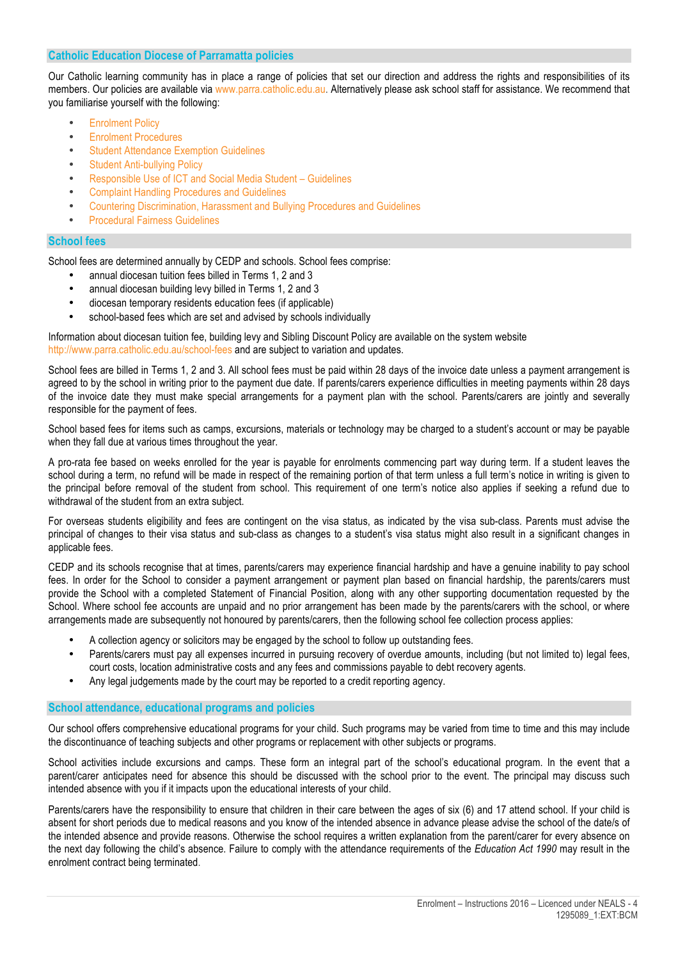#### **Catholic Education Diocese of Parramatta policies**

Our Catholic learning community has in place a range of policies that set our direction and address the rights and responsibilities of its members. Our policies are available via www.parra.catholic.edu.au. Alternatively please ask school staff for assistance. We recommend that you familiarise yourself with the following:

- **Enrolment Policy**
- Enrolment Procedures
- Student Attendance Exemption Guidelines
- **Student Anti-bullying Policy**
- Responsible Use of ICT and Social Media Student Guidelines
- Complaint Handling Procedures and Guidelines
- Countering Discrimination, Harassment and Bullying Procedures and Guidelines
- Procedural Fairness Guidelines

#### **School fees**

School fees are determined annually by CEDP and schools. School fees comprise:

- annual diocesan tuition fees billed in Terms 1, 2 and 3
- annual diocesan building levy billed in Terms 1, 2 and 3
- diocesan temporary residents education fees (if applicable)
- school-based fees which are set and advised by schools individually

Information about diocesan tuition fee, building levy and Sibling Discount Policy are available on the system website http://www.parra.catholic.edu.au/school-fees and are subject to variation and updates.

School fees are billed in Terms 1, 2 and 3. All school fees must be paid within 28 days of the invoice date unless a payment arrangement is agreed to by the school in writing prior to the payment due date. If parents/carers experience difficulties in meeting payments within 28 days of the invoice date they must make special arrangements for a payment plan with the school. Parents/carers are jointly and severally responsible for the payment of fees.

School based fees for items such as camps, excursions, materials or technology may be charged to a student's account or may be payable when they fall due at various times throughout the year.

A pro-rata fee based on weeks enrolled for the year is payable for enrolments commencing part way during term. If a student leaves the school during a term, no refund will be made in respect of the remaining portion of that term unless a full term's notice in writing is given to the principal before removal of the student from school. This requirement of one term's notice also applies if seeking a refund due to withdrawal of the student from an extra subject.

For overseas students eligibility and fees are contingent on the visa status, as indicated by the visa sub-class. Parents must advise the principal of changes to their visa status and sub-class as changes to a student's visa status might also result in a significant changes in applicable fees.

CEDP and its schools recognise that at times, parents/carers may experience financial hardship and have a genuine inability to pay school fees. In order for the School to consider a payment arrangement or payment plan based on financial hardship, the parents/carers must provide the School with a completed Statement of Financial Position, along with any other supporting documentation requested by the School. Where school fee accounts are unpaid and no prior arrangement has been made by the parents/carers with the school, or where arrangements made are subsequently not honoured by parents/carers, then the following school fee collection process applies:

- A collection agency or solicitors may be engaged by the school to follow up outstanding fees.
- Parents/carers must pay all expenses incurred in pursuing recovery of overdue amounts, including (but not limited to) legal fees, court costs, location administrative costs and any fees and commissions payable to debt recovery agents.
- Any legal judgements made by the court may be reported to a credit reporting agency.

#### **School attendance, educational programs and policies**

Our school offers comprehensive educational programs for your child. Such programs may be varied from time to time and this may include the discontinuance of teaching subjects and other programs or replacement with other subjects or programs.

School activities include excursions and camps. These form an integral part of the school's educational program. In the event that a parent/carer anticipates need for absence this should be discussed with the school prior to the event. The principal may discuss such intended absence with you if it impacts upon the educational interests of your child.

Parents/carers have the responsibility to ensure that children in their care between the ages of six (6) and 17 attend school. If your child is absent for short periods due to medical reasons and you know of the intended absence in advance please advise the school of the date/s of the intended absence and provide reasons. Otherwise the school requires a written explanation from the parent/carer for every absence on the next day following the child's absence. Failure to comply with the attendance requirements of the *Education Act 1990* may result in the enrolment contract being terminated.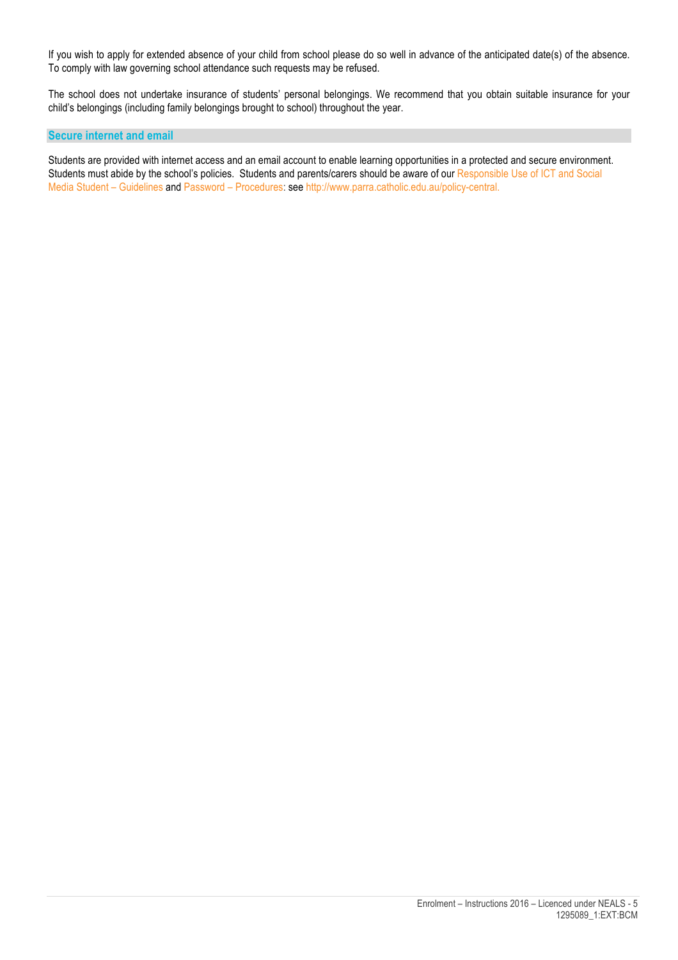If you wish to apply for extended absence of your child from school please do so well in advance of the anticipated date(s) of the absence. To comply with law governing school attendance such requests may be refused.

The school does not undertake insurance of students' personal belongings. We recommend that you obtain suitable insurance for your child's belongings (including family belongings brought to school) throughout the year.

#### **Secure internet and email**

Students are provided with internet access and an email account to enable learning opportunities in a protected and secure environment. Students must abide by the school's policies. Students and parents/carers should be aware of our Responsible Use of ICT and Social Media Student – Guidelines and Password – Procedures: see http://www.parra.catholic.edu.au/policy-central.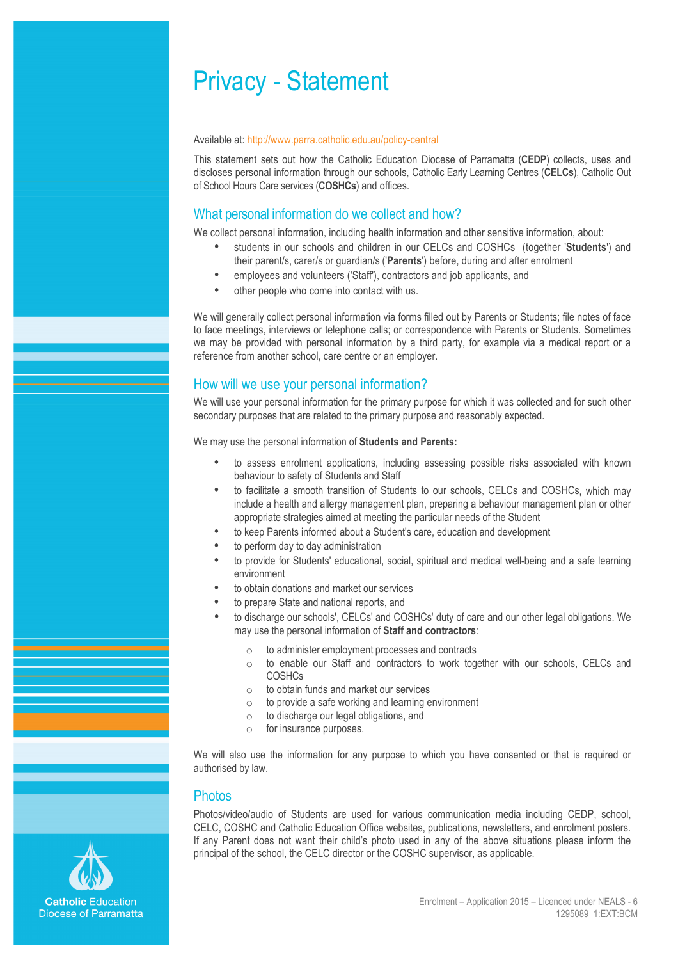# Privacy - Statement

#### Available at: http://www.parra.catholic.edu.au/policy-central

This statement sets out how the Catholic Education Diocese of Parramatta (**CEDP**) collects, uses and discloses personal information through our schools, Catholic Early Learning Centres (**CELCs**), Catholic Out of School Hours Care services (**COSHCs**) and offices.

## What personal information do we collect and how?

We collect personal information, including health information and other sensitive information, about:

- students in our schools and children in our CELCs and COSHCs (together '**Students**') and their parent/s, carer/s or guardian/s ('**Parents**') before, during and after enrolment
- employees and volunteers ('Staff'), contractors and job applicants, and
- other people who come into contact with us.

We will generally collect personal information via forms filled out by Parents or Students; file notes of face to face meetings, interviews or telephone calls; or correspondence with Parents or Students. Sometimes we may be provided with personal information by a third party, for example via a medical report or a reference from another school, care centre or an employer.

## How will we use your personal information?

We will use your personal information for the primary purpose for which it was collected and for such other secondary purposes that are related to the primary purpose and reasonably expected.

We may use the personal information of **Students and Parents:**

- to assess enrolment applications, including assessing possible risks associated with known behaviour to safety of Students and Staff
- to facilitate a smooth transition of Students to our schools, CELCs and COSHCs, which may include a health and allergy management plan, preparing a behaviour management plan or other appropriate strategies aimed at meeting the particular needs of the Student
- to keep Parents informed about a Student's care, education and development
- to perform day to day administration
- to provide for Students' educational, social, spiritual and medical well-being and a safe learning environment
- to obtain donations and market our services
- to prepare State and national reports, and
- to discharge our schools', CELCs' and COSHCs' duty of care and our other legal obligations. We may use the personal information of **Staff and contractors**:
	- $\circ$  to administer employment processes and contracts
	- o to enable our Staff and contractors to work together with our schools, CELCs and **COSHCs**
	- o to obtain funds and market our services
	- o to provide a safe working and learning environment
	- o to discharge our legal obligations, and
	- o for insurance purposes.

We will also use the information for any purpose to which you have consented or that is required or authorised by law.

#### **Photos**

Photos/video/audio of Students are used for various communication media including CEDP, school, CELC, COSHC and Catholic Education Office websites, publications, newsletters, and enrolment posters. If any Parent does not want their child's photo used in any of the above situations please inform the principal of the school, the CELC director or the COSHC supervisor, as applicable.

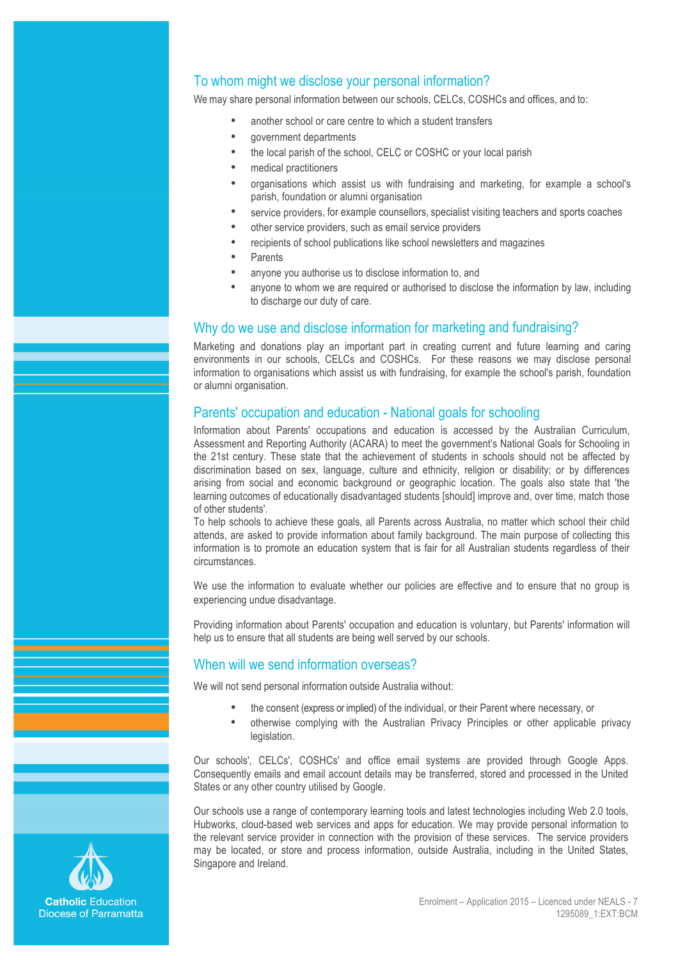## To whom might we disclose your personal information?

We may share personal information between our schools, CELCs, COSHCs and offices, and to:

- another school or care centre to which a student transfers
- government departments
- the local parish of the school, CELC or COSHC or your local parish
- medical practitioners
- organisations which assist us with fundraising and marketing, for example a school's parish, foundation or alumni organisation
- service providers, for example counsellors, specialist visiting teachers and sports coaches
- other service providers, such as email service providers
- recipients of school publications like school newsletters and magazines
- **Parents**
- anyone you authorise us to disclose information to, and
- anyone to whom we are required or authorised to disclose the information by law, including to discharge our duty of care.

## Why do we use and disclose information for marketing and fundraising?

Marketing and donations play an important part in creating current and future learning and caring environments in our schools, CELCs and COSHCs. For these reasons we may disclose personal information to organisations which assist us with fundraising, for example the school's parish, foundation or alumni organisation.

## Parents' occupation and education - National goals for schooling

Information about Parents' occupations and education is accessed by the Australian Curriculum, Assessment and Reporting Authority (ACARA) to meet the government's National Goals for Schooling in the 21st century. These state that the achievement of students in schools should not be affected by discrimination based on sex, language, culture and ethnicity, religion or disability; or by differences arising from social and economic background or geographic location. The goals also state that 'the learning outcomes of educationally disadvantaged students [should] improve and, over time, match those of other students'.

To help schools to achieve these goals, all Parents across Australia, no matter which school their child attends, are asked to provide information about family background. The main purpose of collecting this information is to promote an education system that is fair for all Australian students regardless of their circumstances.

We use the information to evaluate whether our policies are effective and to ensure that no group is experiencing undue disadvantage.

Providing information about Parents' occupation and education is voluntary, but Parents' information will help us to ensure that all students are being well served by our schools.

## When will we send information overseas?

We will not send personal information outside Australia without:

- the consent (express or implied) of the individual, or their Parent where necessary, or
- otherwise complying with the Australian Privacy Principles or other applicable privacy legislation.

Our schools', CELCs', COSHCs' and office email systems are provided through Google Apps. Consequently emails and email account details may be transferred, stored and processed in the United States or any other country utilised by Google.

Our schools use a range of contemporary learning tools and latest technologies including Web 2.0 tools, Hubworks, cloud-based web services and apps for education. We may provide personal information to the relevant service provider in connection with the provision of these services. The service providers may be located, or store and process information, outside Australia, including in the United States, Singapore and Ireland.